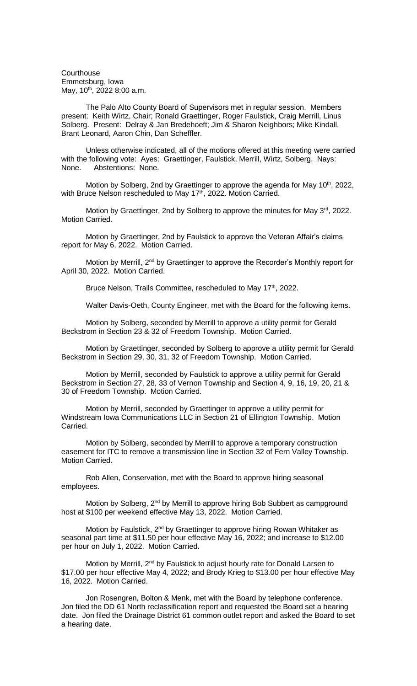**Courthouse** Emmetsburg, Iowa May, 10<sup>th</sup>, 2022 8:00 a.m.

The Palo Alto County Board of Supervisors met in regular session. Members present: Keith Wirtz, Chair; Ronald Graettinger, Roger Faulstick, Craig Merrill, Linus Solberg. Present: Delray & Jan Bredehoeft; Jim & Sharon Neighbors; Mike Kindall, Brant Leonard, Aaron Chin, Dan Scheffler.

Unless otherwise indicated, all of the motions offered at this meeting were carried with the following vote: Ayes: Graettinger, Faulstick, Merrill, Wirtz, Solberg. Nays: None. Abstentions: None.

Motion by Solberg, 2nd by Graettinger to approve the agenda for May 10<sup>th</sup>, 2022, with Bruce Nelson rescheduled to May 17<sup>th</sup>, 2022. Motion Carried.

Motion by Graettinger, 2nd by Solberg to approve the minutes for May 3<sup>rd</sup>, 2022. Motion Carried.

Motion by Graettinger, 2nd by Faulstick to approve the Veteran Affair's claims report for May 6, 2022. Motion Carried.

Motion by Merrill, 2<sup>nd</sup> by Graettinger to approve the Recorder's Monthly report for April 30, 2022. Motion Carried.

Bruce Nelson, Trails Committee, rescheduled to May 17<sup>th</sup>, 2022.

Walter Davis-Oeth, County Engineer, met with the Board for the following items.

Motion by Solberg, seconded by Merrill to approve a utility permit for Gerald Beckstrom in Section 23 & 32 of Freedom Township. Motion Carried.

Motion by Graettinger, seconded by Solberg to approve a utility permit for Gerald Beckstrom in Section 29, 30, 31, 32 of Freedom Township. Motion Carried.

Motion by Merrill, seconded by Faulstick to approve a utility permit for Gerald Beckstrom in Section 27, 28, 33 of Vernon Township and Section 4, 9, 16, 19, 20, 21 & 30 of Freedom Township. Motion Carried.

Motion by Merrill, seconded by Graettinger to approve a utility permit for Windstream Iowa Communications LLC in Section 21 of Ellington Township. Motion Carried.

Motion by Solberg, seconded by Merrill to approve a temporary construction easement for ITC to remove a transmission line in Section 32 of Fern Valley Township. Motion Carried.

Rob Allen, Conservation, met with the Board to approve hiring seasonal employees.

Motion by Solberg, 2<sup>nd</sup> by Merrill to approve hiring Bob Subbert as campground host at \$100 per weekend effective May 13, 2022. Motion Carried.

Motion by Faulstick, 2<sup>nd</sup> by Graettinger to approve hiring Rowan Whitaker as seasonal part time at \$11.50 per hour effective May 16, 2022; and increase to \$12.00 per hour on July 1, 2022. Motion Carried.

Motion by Merrill, 2<sup>nd</sup> by Faulstick to adjust hourly rate for Donald Larsen to \$17.00 per hour effective May 4, 2022; and Brody Krieg to \$13.00 per hour effective May 16, 2022. Motion Carried.

Jon Rosengren, Bolton & Menk, met with the Board by telephone conference. Jon filed the DD 61 North reclassification report and requested the Board set a hearing date. Jon filed the Drainage District 61 common outlet report and asked the Board to set a hearing date.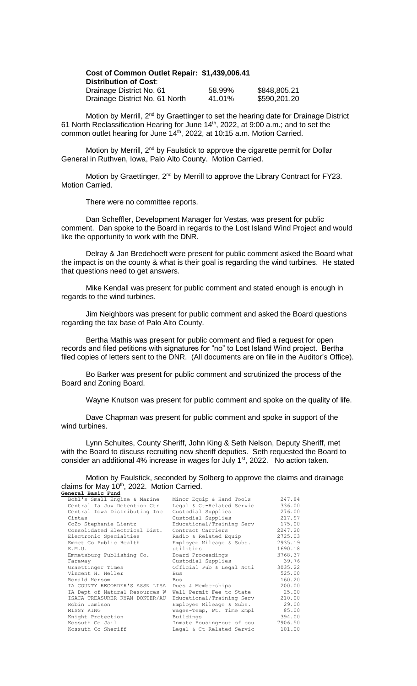| Cost of Common Outlet Repair: \$1,439,006.41 |        |              |
|----------------------------------------------|--------|--------------|
| <b>Distribution of Cost:</b>                 |        |              |
| Drainage District No. 61                     | 58.99% | \$848,805.21 |
| Drainage District No. 61 North               | 41.01% | \$590,201.20 |

Motion by Merrill, 2<sup>nd</sup> by Graettinger to set the hearing date for Drainage District 61 North Reclassification Hearing for June 14th, 2022, at 9:00 a.m.; and to set the common outlet hearing for June 14<sup>th</sup>, 2022, at 10:15 a.m. Motion Carried.

Motion by Merrill, 2<sup>nd</sup> by Faulstick to approve the cigarette permit for Dollar General in Ruthven, Iowa, Palo Alto County. Motion Carried.

Motion by Graettinger, 2<sup>nd</sup> by Merrill to approve the Library Contract for FY23. Motion Carried.

There were no committee reports.

Dan Scheffler, Development Manager for Vestas, was present for public comment. Dan spoke to the Board in regards to the Lost Island Wind Project and would like the opportunity to work with the DNR.

Delray & Jan Bredehoeft were present for public comment asked the Board what the impact is on the county & what is their goal is regarding the wind turbines. He stated that questions need to get answers.

Mike Kendall was present for public comment and stated enough is enough in regards to the wind turbines.

Jim Neighbors was present for public comment and asked the Board questions regarding the tax base of Palo Alto County.

Bertha Mathis was present for public comment and filed a request for open records and filed petitions with signatures for "no" to Lost Island Wind project. Bertha filed copies of letters sent to the DNR. (All documents are on file in the Auditor's Office).

Bo Barker was present for public comment and scrutinized the process of the Board and Zoning Board.

Wayne Knutson was present for public comment and spoke on the quality of life.

Dave Chapman was present for public comment and spoke in support of the wind turbines.

Lynn Schultes, County Sheriff, John King & Seth Nelson, Deputy Sheriff, met with the Board to discuss recruiting new sheriff deputies. Seth requested the Board to consider an additional 4% increase in wages for July  $1<sup>st</sup>$ , 2022. No action taken.

## Motion by Faulstick, seconded by Solberg to approve the claims and drainage claims for May 10<sup>th</sup>, 2022. Motion Carried. **General Basic Fund**

| Bohl's Small Engine & Marine                      | Minor Equip & Hand Tools  | 247.84  |
|---------------------------------------------------|---------------------------|---------|
| Central Ia Juv Detention Ctr                      | Legal & Ct-Related Servic | 336.00  |
| Central Iowa Distributing Inc                     | Custodial Supplies        | 276.00  |
| Cintas                                            | Custodial Supplies        | 217.97  |
| CoZo Stephanie Lientz                             | Educational/Training Serv | 175.00  |
| Consolidated Electrical Dist.                     | Contract Carriers         | 2247.20 |
| Electronic Specialties                            | Radio & Related Equip     | 2725.03 |
| Emmet Co Public Health                            | Employee Mileage & Subs.  | 2935.19 |
| E.M.U.                                            | utilities                 | 1690.18 |
| Emmetsburg Publishing Co.                         | Board Proceedings         | 3768.37 |
| Fareway                                           | Custodial Supplies        | 39.76   |
| Graettinger Times                                 | Official Pub & Legal Noti | 3035.22 |
| Vincent H. Heller                                 | <b>Bus</b>                | 525.00  |
| Ronald Hersom                                     | Bus                       | 160.20  |
| IA COUNTY RECORDER'S ASSN LISA Dues & Memberships |                           | 200.00  |
| IA Dept of Natural Resources W                    | Well Permit Fee to State  | 25.00   |
| ISACA TREASURER RYAN DOKTER/AU                    | Educational/Training Serv | 210.00  |
| Robin Jamison                                     | Employee Mileage & Subs.  | 29.00   |
| MISSY KING                                        | Wages-Temp, Pt. Time Empl | 85.00   |
| Knight Protection                                 | Buildings                 | 394.00  |
| Kossuth Co Jail                                   | Inmate Housing-out of cou | 7906.50 |
| Kossuth Co Sheriff                                | Legal & Ct-Related Servic | 101.00  |
|                                                   |                           |         |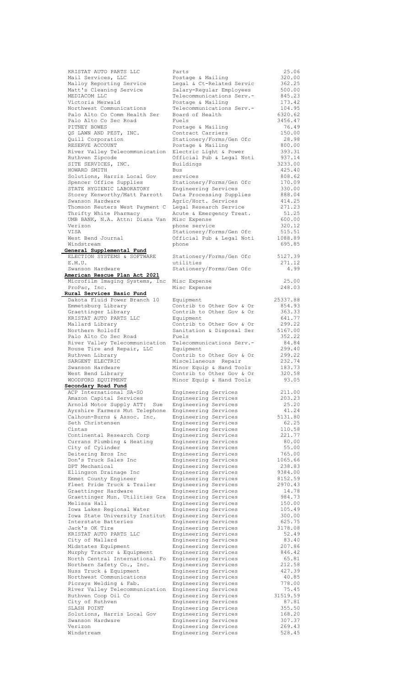| KRISTAT AUTO PARTS LLC         | Parts                                        | 25.06            |
|--------------------------------|----------------------------------------------|------------------|
| Mail Services, LLC             | Postage & Mailing                            | 320.00           |
|                                |                                              |                  |
| Malloy Reporting Service       | Legal & Ct-Related Servic                    | 362.25           |
| Matt's Cleaning Service        | Salary-Regular Employees                     | 500.00           |
| MEDIACOM LLC                   | Telecommunications Serv.-                    | 845.23           |
| Victoria Merwald               | Postage & Mailing                            | 173.42           |
| Northwest Communications       | Telecommunications Serv.-                    | 104.95           |
|                                |                                              |                  |
| Palo Alto Co Comm Health Ser   | Board of Health                              | 6320.62          |
| Palo Alto Co Sec Road          | Fuels                                        | 3456.47          |
| PITNEY BOWES                   | Postage & Mailing                            | 76.49            |
| QS LAWN AND PEST, INC.         | Contract Carriers                            | 150.00           |
|                                |                                              | 28.98            |
| Quill Corporation              | Stationery/Forms/Gen Ofc                     |                  |
| RESERVE ACCOUNT                | Postage & Mailing                            | 800.00           |
| River Valley Telecommunication | Electric Light & Power                       | 393.31           |
| Ruthven Zipcode                | Official Pub & Legal Noti                    | 937.14           |
| SITE SERVICES, INC.            | Buildings                                    | 3233.00          |
|                                |                                              |                  |
| HOWARD SMITH                   | Bus                                          | 425.40           |
| Solutions, Harris Local Gov    | services                                     | 808.62           |
| Spencer Office Supplies        | Stationery/Forms/Gen Ofc                     | 170.09           |
| STATE HYGIENIC LABORATORY      | Engineering Services                         | 330.00           |
|                                |                                              |                  |
| Storey Kenworthy/Matt Parrott  | Data Processing Supplies                     | 888.04           |
| Swanson Hardware               | Agric/Hort. Services                         | 414.25           |
| Thomson Reuters West Payment C | Legal Research Service                       | 271.23           |
| Thrifty White Pharmacy         | Acute & Emergency Treat.                     | 51.25            |
|                                |                                              |                  |
| UMB BANK, N.A. Attn: Diana Van | Misc Expense                                 | 600.00           |
| Verizon                        | phone service                                | 320.12           |
| VISA                           | Stationery/Forms/Gen Ofc                     | 515.51           |
| West Bend Journal              | Official Pub & Legal Noti                    | 1088.89          |
|                                |                                              |                  |
| Windstream                     | phone                                        | 695.85           |
| General Supplemental Fund      |                                              |                  |
| ELECTION SYSTEMS & SOFTWARE    | Stationery/Forms/Gen Ofc                     | 5127.39          |
| E.M.U.                         | utilities                                    | 271.12           |
| Swanson Hardware               |                                              | 4.99             |
|                                | Stationery/Forms/Gen Ofc                     |                  |
| American Rescue Plan Act 2021  |                                              |                  |
| Microfilm Imaging Systems, Inc | Misc Expense                                 | 25.00            |
| ProPac, Inc.                   | Misc Expense                                 | 248.03           |
| Rural Services Basic Fund      |                                              |                  |
|                                |                                              |                  |
| Dakota Fluid Power Branch 10   | Equipment                                    | 25337.88         |
| Emmetsburg Library             | Contrib to Other Gov & Or                    | 854.93           |
| Graettinger Library            | Contrib to Other Gov & Or                    | 363.33           |
| KRISTAT AUTO PARTS LLC         | Equipment                                    | 641.77           |
|                                |                                              |                  |
| Mallard Library                | Contrib to Other Gov & Or                    | 299.22           |
| Northern Rolloff               | Sanitation & Disposal Ser                    | 5167.00          |
| Palo Alto Co Sec Road          | Fuels                                        | 352.22           |
| River Valley Telecommunication | Telecommunications Serv.-                    | 84.84            |
|                                |                                              | 299.40           |
| Rouse Tire and Repair, LLC     | Equipment                                    |                  |
| Ruthven Library                | Contrib to Other Gov & Or                    | 299.22           |
| SARGENT ELECTRIC               | Miscellaneous Repair                         | 232.74           |
|                                |                                              | 183.73           |
|                                |                                              |                  |
| Swanson Hardware               | Minor Equip & Hand Tools                     |                  |
| West Bend Library              | Contrib to Other Gov & Or                    | 320.58           |
| WOODFORD EQUIPMENT             | Minor Equip & Hand Tools                     | 93.05            |
| Secondary Road Fund            |                                              |                  |
|                                |                                              |                  |
| ACP International SA-SO        | Engineering Services                         | 211.00           |
| Amazon Capital Services        | Engineering Services                         | 203.23           |
| Arnold Motor Supply ATT: Sue   | Engineering Services                         | 25.20            |
| Ayrshire Farmers Mut Telephone | Engineering Services                         | 41.24            |
|                                |                                              |                  |
| Calhoun-Burns & Assoc. Inc.    | Engineering Services                         | 5131.80          |
| Seth Christensen               | Engineering Services                         | 62.25            |
| Cintas                         | Engineering Services                         | 110.58           |
| Continental Research Corp      | Engineering Services                         | 221.77           |
| Currans Plumbing & Heating     | Engineering Services                         | 80.00            |
|                                |                                              |                  |
| City of Cylinder               | Engineering Services                         | 55.00            |
| Deitering Bros Inc             | Engineering Services                         | 765.00           |
| Don's Truck Sales Inc          | Engineering Services                         | 1065.66          |
| DPT Mechanical                 | Engineering Services                         | 238.83           |
| Ellingson Drainage Inc         | Engineering Services                         | 9384.00          |
|                                |                                              |                  |
| Emmet County Engineer          | Engineering Services                         | 8152.59          |
| Fleet Pride Truck & Trailer    | Engineering Services                         | 2970.43          |
| Graettinger Hardware           | Engineering Services                         | 14.78            |
| Graettinger Mun. Utilities Gra | Engineering Services                         | 984.73           |
| Melissa Hall                   |                                              | 150.00           |
|                                | Engineering Services                         |                  |
| Iowa Lakes Regional Water      | Engineering Services                         | 105.49           |
| Iowa State University Institut | Engineering Services                         | 300.00           |
| Interstate Batteries           | Engineering Services                         | 625.75           |
| Jack's OK Tire                 | Engineering Services                         | 3178.08          |
|                                |                                              |                  |
| KRISTAT AUTO PARTS LLC         | Engineering Services                         | 52.49            |
| City of Mallard                | Engineering Services                         | 83.40            |
| Midstates Equipment            | Engineering Services                         | 207.86           |
| Murphy Tractor & Equipment     | Engineering Services                         | 846.42           |
|                                |                                              |                  |
| North Central International Fo | Engineering Services                         | 65.81            |
| Northern Safety Co., Inc.      | Engineering Services                         | 212.58           |
| Nuss Truck & Equipment         | Engineering Services                         | 427.39           |
| Northwest Communications       | Engineering Services                         | 40.85            |
|                                |                                              |                  |
| Picrays Welding & Fab.         | Engineering Services                         | 778.00           |
| River Valley Telecommunication | Engineering Services                         | 75.45            |
| Ruthven Coop Oil Co            | Engineering Services                         | 31519.59         |
| City of Ruthven                | Engineering Services                         | 87.81            |
| SLASH POINT                    | Engineering Services                         | 355.50           |
|                                |                                              |                  |
| Solutions, Harris Local Gov    | Engineering Services                         | 168.20           |
| Swanson Hardware               | Engineering Services                         | 307.37           |
| Verizon<br>Windstream          | Engineering Services<br>Engineering Services | 269.43<br>528.45 |